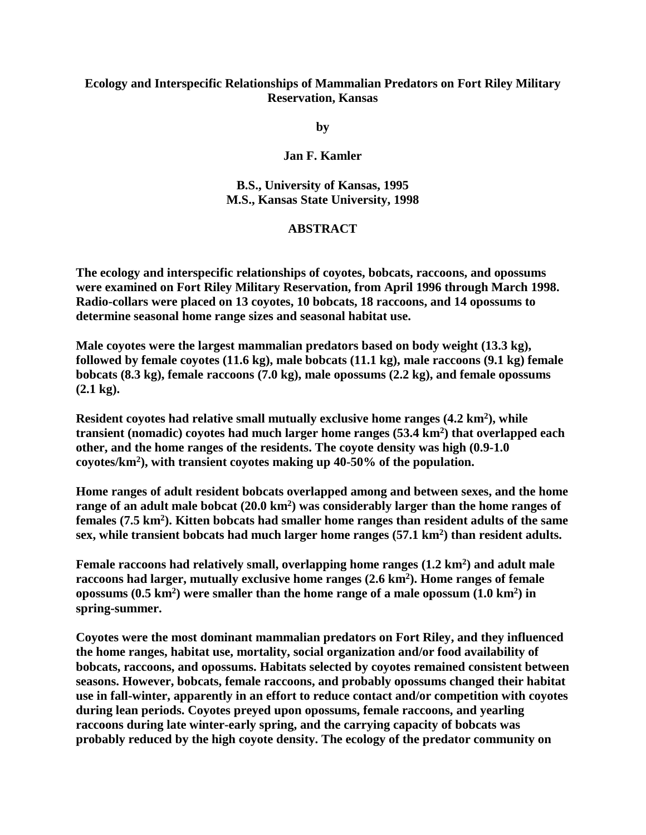## **Ecology and Interspecific Relationships of Mammalian Predators on Fort Riley Military Reservation, Kansas**

**by**

**Jan F. Kamler**

**B.S., University of Kansas, 1995 M.S., Kansas State University, 1998** 

## **ABSTRACT**

**The ecology and interspecific relationships of coyotes, bobcats, raccoons, and opossums were examined on Fort Riley Military Reservation, from April 1996 through March 1998. Radio-collars were placed on 13 coyotes, 10 bobcats, 18 raccoons, and 14 opossums to determine seasonal home range sizes and seasonal habitat use.**

**Male coyotes were the largest mammalian predators based on body weight (13.3 kg), followed by female coyotes (11.6 kg), male bobcats (11.1 kg), male raccoons (9.1 kg) female bobcats (8.3 kg), female raccoons (7.0 kg), male opossums (2.2 kg), and female opossums (2.1 kg).**

Resident coyotes had relative small mutually exclusive home ranges (4.2 km<sup>2</sup>), while **transient (nomadic) coyotes had much larger home ranges (53.4 km2) that overlapped each other, and the home ranges of the residents. The coyote density was high (0.9-1.0 coyotes/km2), with transient coyotes making up 40-50% of the population.**

**Home ranges of adult resident bobcats overlapped among and between sexes, and the home**  range of an adult male bobcat (20.0 km<sup>2</sup>) was considerably larger than the home ranges of **females (7.5 km2). Kitten bobcats had smaller home ranges than resident adults of the same sex, while transient bobcats had much larger home ranges (57.1 km2) than resident adults.**

Female raccoons had relatively small, overlapping home ranges (1.2 km<sup>2</sup>) and adult male **raccoons had larger, mutually exclusive home ranges (2.6 km2). Home ranges of female opossums (0.5 km2) were smaller than the home range of a male opossum (1.0 km2) in spring-summer.**

**Coyotes were the most dominant mammalian predators on Fort Riley, and they influenced the home ranges, habitat use, mortality, social organization and/or food availability of bobcats, raccoons, and opossums. Habitats selected by coyotes remained consistent between seasons. However, bobcats, female raccoons, and probably opossums changed their habitat use in fall-winter, apparently in an effort to reduce contact and/or competition with coyotes during lean periods. Coyotes preyed upon opossums, female raccoons, and yearling raccoons during late winter-early spring, and the carrying capacity of bobcats was probably reduced by the high coyote density. The ecology of the predator community on**